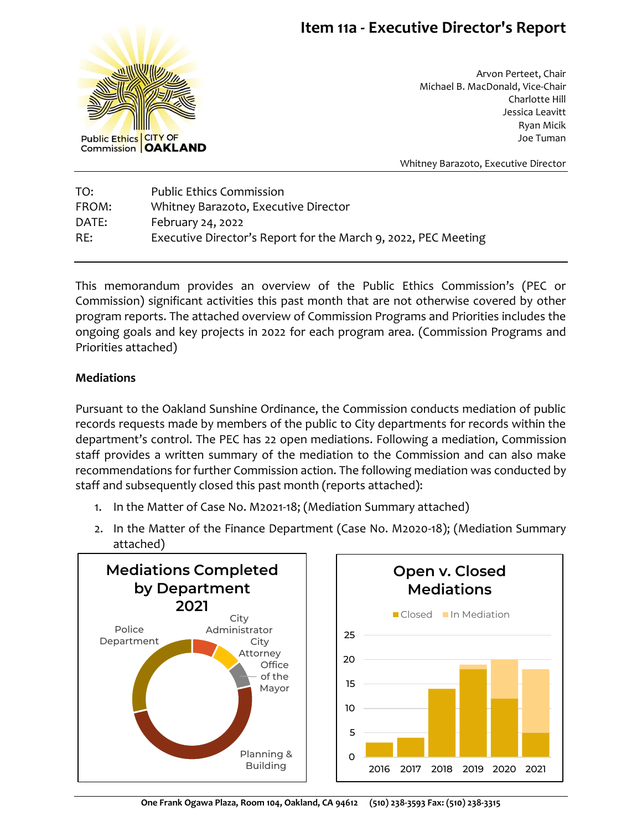## **Item 11a - Executive Director's Report**



Arvon Perteet, Chair Michael B. MacDonald, Vice-Chair Charlotte Hill Jessica Leavitt Ryan Micik Joe Tuman

Whitney Barazoto, Executive Director

TO: Public Ethics Commission FROM: Whitney Barazoto, Executive Director DATE: February 24, 2022 RE: Executive Director's Report for the March 9, 2022, PEC Meeting

This memorandum provides an overview of the Public Ethics Commission's (PEC or Commission) significant activities this past month that are not otherwise covered by other program reports. The attached overview of Commission Programs and Priorities includes the ongoing goals and key projects in 2022 for each program area. (Commission Programs and Priorities attached)

### **Mediations**

Pursuant to the Oakland Sunshine Ordinance, the Commission conducts mediation of public records requests made by members of the public to City departments for records within the department's control. The PEC has 22 open mediations. Following a mediation, Commission staff provides a written summary of the mediation to the Commission and can also make recommendations for further Commission action. The following mediation was conducted by staff and subsequently closed this past month (reports attached):

- 1. In the Matter of Case No. M2021-18; (Mediation Summary attached)
- 2. In the Matter of the Finance Department (Case No. M2020-18); (Mediation Summary attached)



**One Frank Ogawa Plaza, Room 104, Oakland, CA 94612 (510) 238-3593 Fax: (510) 238-3315**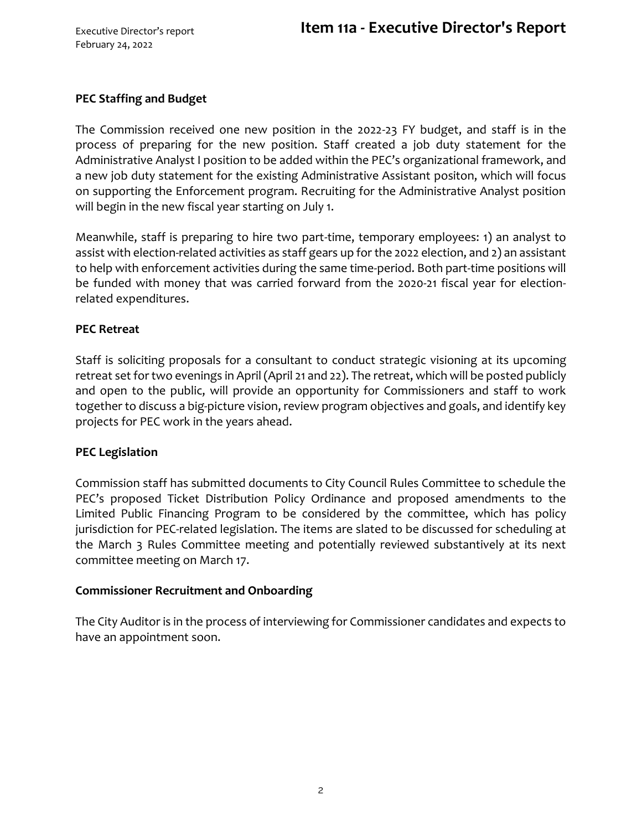### **PEC Staffing and Budget**

The Commission received one new position in the 2022-23 FY budget, and staff is in the process of preparing for the new position. Staff created a job duty statement for the Administrative Analyst I position to be added within the PEC's organizational framework, and a new job duty statement for the existing Administrative Assistant positon, which will focus on supporting the Enforcement program. Recruiting for the Administrative Analyst position will begin in the new fiscal year starting on July 1.

Meanwhile, staff is preparing to hire two part-time, temporary employees: 1) an analyst to assist with election-related activities as staff gears up for the 2022 election, and 2) an assistant to help with enforcement activities during the same time-period. Both part-time positions will be funded with money that was carried forward from the 2020-21 fiscal year for electionrelated expenditures.

#### **PEC Retreat**

Staff is soliciting proposals for a consultant to conduct strategic visioning at its upcoming retreat set for two evenings in April (April 21 and 22). The retreat, which will be posted publicly and open to the public, will provide an opportunity for Commissioners and staff to work together to discuss a big-picture vision, review program objectives and goals, and identify key projects for PEC work in the years ahead.

### **PEC Legislation**

Commission staff has submitted documents to City Council Rules Committee to schedule the PEC's proposed Ticket Distribution Policy Ordinance and proposed amendments to the Limited Public Financing Program to be considered by the committee, which has policy jurisdiction for PEC-related legislation. The items are slated to be discussed for scheduling at the March 3 Rules Committee meeting and potentially reviewed substantively at its next committee meeting on March 17.

#### **Commissioner Recruitment and Onboarding**

The City Auditor is in the process of interviewing for Commissioner candidates and expects to have an appointment soon.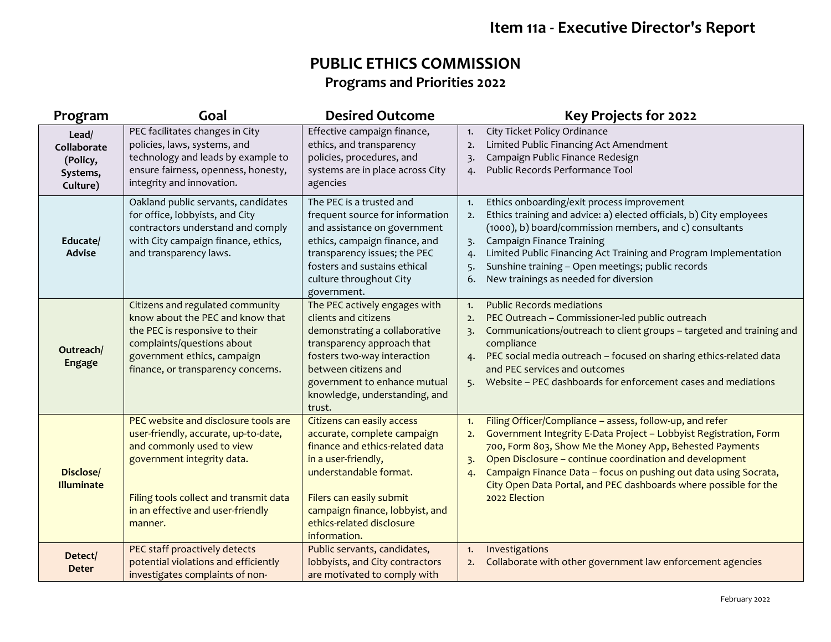# **Item 11a - Executive Director's Report**

## **PUBLIC ETHICS COMMISSION Programs and Priorities 2022**

| Program                                                  | Goal                                                                                                                                                                                                                              | <b>Desired Outcome</b>                                                                                                                                                                                                                                    | Key Projects for 2022                                                                                                                                                                                                                                                                                                                                                                                                                |
|----------------------------------------------------------|-----------------------------------------------------------------------------------------------------------------------------------------------------------------------------------------------------------------------------------|-----------------------------------------------------------------------------------------------------------------------------------------------------------------------------------------------------------------------------------------------------------|--------------------------------------------------------------------------------------------------------------------------------------------------------------------------------------------------------------------------------------------------------------------------------------------------------------------------------------------------------------------------------------------------------------------------------------|
| Lead/<br>Collaborate<br>(Policy,<br>Systems,<br>Culture) | PEC facilitates changes in City<br>policies, laws, systems, and<br>technology and leads by example to<br>ensure fairness, openness, honesty,<br>integrity and innovation.                                                         | Effective campaign finance,<br>ethics, and transparency<br>policies, procedures, and<br>systems are in place across City<br>agencies                                                                                                                      | City Ticket Policy Ordinance<br>1.<br>Limited Public Financing Act Amendment<br>2.<br>Campaign Public Finance Redesign<br>$\overline{3}$<br>Public Records Performance Tool<br>4.                                                                                                                                                                                                                                                    |
| Educate/<br><b>Advise</b>                                | Oakland public servants, candidates<br>for office, lobbyists, and City<br>contractors understand and comply<br>with City campaign finance, ethics,<br>and transparency laws.                                                      | The PEC is a trusted and<br>frequent source for information<br>and assistance on government<br>ethics, campaign finance, and<br>transparency issues; the PEC<br>fosters and sustains ethical<br>culture throughout City<br>government.                    | Ethics onboarding/exit process improvement<br>1.<br>Ethics training and advice: a) elected officials, b) City employees<br>2.<br>(1000), b) board/commission members, and c) consultants<br><b>Campaign Finance Training</b><br>3.<br>Limited Public Financing Act Training and Program Implementation<br>4.<br>Sunshine training - Open meetings; public records<br>5.<br>New trainings as needed for diversion<br>6.               |
| Outreach/<br><b>Engage</b>                               | Citizens and regulated community<br>know about the PEC and know that<br>the PEC is responsive to their<br>complaints/questions about<br>government ethics, campaign<br>finance, or transparency concerns.                         | The PEC actively engages with<br>clients and citizens<br>demonstrating a collaborative<br>transparency approach that<br>fosters two-way interaction<br>between citizens and<br>government to enhance mutual<br>knowledge, understanding, and<br>trust.    | <b>Public Records mediations</b><br>1.<br>PEC Outreach - Commissioner-led public outreach<br>2.<br>Communications/outreach to client groups - targeted and training and<br>3.<br>compliance<br>PEC social media outreach - focused on sharing ethics-related data<br>4.<br>and PEC services and outcomes<br>5. Website - PEC dashboards for enforcement cases and mediations                                                         |
| Disclose/<br><b>Illuminate</b>                           | PEC website and disclosure tools are<br>user-friendly, accurate, up-to-date,<br>and commonly used to view<br>government integrity data.<br>Filing tools collect and transmit data<br>in an effective and user-friendly<br>manner. | Citizens can easily access<br>accurate, complete campaign<br>finance and ethics-related data<br>in a user-friendly,<br>understandable format.<br>Filers can easily submit<br>campaign finance, lobbyist, and<br>ethics-related disclosure<br>information. | Filing Officer/Compliance - assess, follow-up, and refer<br>1.<br>Government Integrity E-Data Project - Lobbyist Registration, Form<br>2.<br>700, Form 803, Show Me the Money App, Behested Payments<br>Open Disclosure - continue coordination and development<br>3.<br>Campaign Finance Data - focus on pushing out data using Socrata,<br>4.<br>City Open Data Portal, and PEC dashboards where possible for the<br>2022 Election |
| Detect/<br><b>Deter</b>                                  | PEC staff proactively detects<br>potential violations and efficiently<br>investigates complaints of non-                                                                                                                          | Public servants, candidates,<br>lobbyists, and City contractors<br>are motivated to comply with                                                                                                                                                           | Investigations<br>1.<br>Collaborate with other government law enforcement agencies<br>2.                                                                                                                                                                                                                                                                                                                                             |